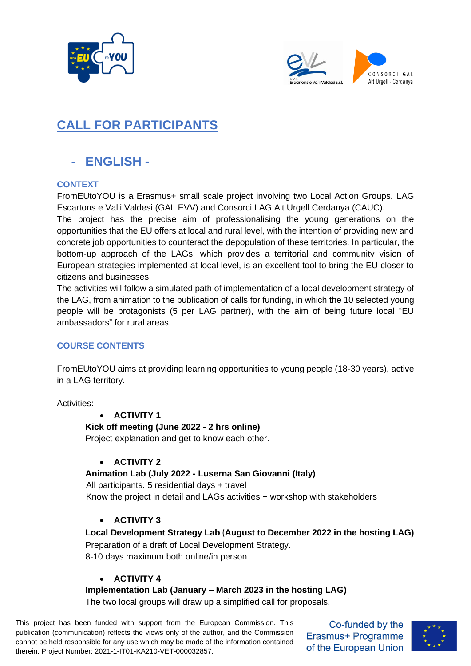



# **CALL FOR PARTICIPANTS**

# - **ENGLISH -**

## **CONTEXT**

FromEUtoYOU is a Erasmus+ small scale project involving two Local Action Groups. LAG Escartons e Valli Valdesi (GAL EVV) and Consorci LAG Alt Urgell Cerdanya (CAUC).

The project has the precise aim of professionalising the young generations on the opportunities that the EU offers at local and rural level, with the intention of providing new and concrete job opportunities to counteract the depopulation of these territories. In particular, the bottom-up approach of the LAGs, which provides a territorial and community vision of European strategies implemented at local level, is an excellent tool to bring the EU closer to citizens and businesses.

The activities will follow a simulated path of implementation of a local development strategy of the LAG, from animation to the publication of calls for funding, in which the 10 selected young people will be protagonists (5 per LAG partner), with the aim of being future local "EU ambassadors" for rural areas.

# **COURSE CONTENTS**

FromEUtoYOU aims at providing learning opportunities to young people (18-30 years), active in a LAG territory.

Activities:

## • **ACTIVITY 1**

## **Kick off meeting (June 2022 - 2 hrs online)**

Project explanation and get to know each other.

# • **ACTIVITY 2**

## **Animation Lab (July 2022 - Luserna San Giovanni (Italy)**

 All participants. 5 residential days + travel Know the project in detail and LAGs activities + workshop with stakeholders

# • **ACTIVITY 3**

# **Local Development Strategy Lab** (**August to December 2022 in the hosting LAG)**

Preparation of a draft of Local Development Strategy. 8-10 days maximum both online/in person

# • **ACTIVITY 4**

# **Implementation Lab (January – March 2023 in the hosting LAG)**

The two local groups will draw up a simplified call for proposals.

This project has been funded with support from the European Commission. This publication (communication) reflects the views only of the author, and the Commission cannot be held responsible for any use which may be made of the information contained therein. Project Number: 2021-1-IT01-KA210-VET-000032857.

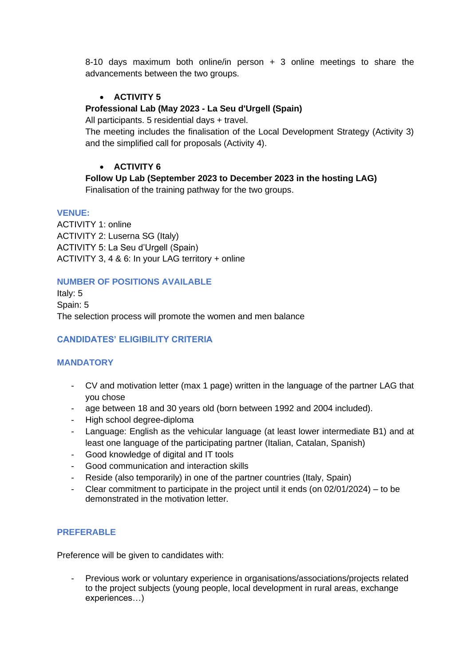8-10 days maximum both online/in person + 3 online meetings to share the advancements between the two groups.

## • **ACTIVITY 5**

#### **Professional Lab (May 2023 - La Seu d'Urgell (Spain)**

All participants. 5 residential days + travel.

The meeting includes the finalisation of the Local Development Strategy (Activity 3) and the simplified call for proposals (Activity 4).

#### • **ACTIVITY 6**

**Follow Up Lab (September 2023 to December 2023 in the hosting LAG)** Finalisation of the training pathway for the two groups.

#### **VENUE:**

ACTIVITY 1: online ACTIVITY 2: Luserna SG (Italy) ACTIVITY 5: La Seu d'Urgell (Spain) ACTIVITY 3, 4 & 6: In your LAG territory + online

#### **NUMBER OF POSITIONS AVAILABLE**

Italy: 5 Spain: 5 The selection process will promote the women and men balance

#### **CANDIDATES' ELIGIBILITY CRITERIA**

#### **MANDATORY**

- CV and motivation letter (max 1 page) written in the language of the partner LAG that you chose
- age between 18 and 30 years old (born between 1992 and 2004 included).
- High school degree-diploma
- Language: English as the vehicular language (at least lower intermediate B1) and at least one language of the participating partner (Italian, Catalan, Spanish)
- Good knowledge of digital and IT tools
- Good communication and interaction skills
- Reside (also temporarily) in one of the partner countries (Italy, Spain)
- Clear commitment to participate in the project until it ends (on  $02/01/2024$ ) to be demonstrated in the motivation letter.

#### **PREFERABLE**

Preference will be given to candidates with:

- Previous work or voluntary experience in organisations/associations/projects related to the project subjects (young people, local development in rural areas, exchange experiences…)